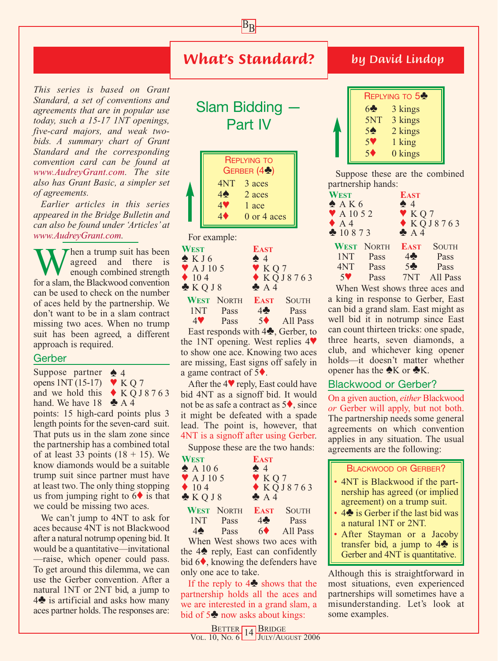## *What's Standard?*

 $B_{\underline{B}}$ 

*This series is based on Grant Standard, a set of conventions and agreements that are in popular use today, such a 15-17 1NT openings, five-card majors, and weak twobids. A summary chart of Grant Standard and the corresponding convention card can be found at www.AudreyGrant.com. The site also has Grant Basic, a simpler set of agreements.*

*Earlier articles in this series appeared in the Bridge Bulletin and can also be found under 'Articles' at www.AudreyGrant.com.*

When a trump suit has been<br>agreed and there is<br>for a slam, the Blackwood convention agreed and there is enough combined strength can be used to check on the number of aces held by the partnership. We don't want to be in a slam contract missing two aces. When no trump suit has been agreed, a different approach is required.

## **Gerber**

Suppose partner ◆ 4 opens  $1NT(15-17)$   $\blacktriangleright$  K Q 7 and we hold this  $\triangle K$  Q J 8 7 6 3 hand. We have  $18 \triangle A4$ 

points: 15 high-card points plus 3 length points for the seven-card suit. That puts us in the slam zone since the partnership has a combined total of at least 33 points  $(18 + 15)$ . We know diamonds would be a suitable trump suit since partner must have at least two. The only thing stopping us from jumping right to  $6\blacklozenge$  is that we could be missing two aces.

We can't jump to 4NT to ask for aces because 4NT is not Blackwood after a natural notrump opening bid. It would be a quantitative—invitational —raise, which opener could pass. To get around this dilemma, we can use the Gerber convention. After a natural 1NT or 2NT bid, a jump to 4♣ is artificial and asks how many aces partner holds. The responses are:

|                                         | <b>Slam Bidding</b><br>Part IV |                      |  |                                      |              |
|-----------------------------------------|--------------------------------|----------------------|--|--------------------------------------|--------------|
|                                         |                                |                      |  | <b>REPLYING TO</b>                   |              |
|                                         |                                |                      |  | GERBER (4%)                          |              |
|                                         |                                | 4NT 3 aces           |  |                                      |              |
|                                         |                                | $4\spadesuit$ 2 aces |  |                                      |              |
| T                                       |                                | $4$ 1 ace            |  |                                      |              |
|                                         |                                | $4 \blacklozenge$    |  | $0$ or $4$ aces                      |              |
|                                         |                                | For example:         |  |                                      |              |
| WEST                                    |                                |                      |  | <b>EAST</b>                          |              |
| X K J6<br>$\blacktriangledown$ A J 10 5 |                                |                      |  | $\spadesuit$ 4                       |              |
| $\blacklozenge$ 104                     |                                |                      |  | $\blacktriangledown$ KQ 7<br>KQJ8763 |              |
| KQJ8                                    |                                |                      |  | A4                                   |              |
|                                         |                                | <b>WEST NORTH</b>    |  | <b>EAST</b>                          | <b>SOUTH</b> |

1NT Pass  $4\bullet$  Pass<br>4♥ Pass 5♦ All Pas 4♥ Pass 5♦ All Pass East responds with 4♣, Gerber, to the 1NT opening. West replies 4♥ to show one ace. Knowing two aces are missing, East signs off safely in a game contract of 5♦.

After the 4♥ reply, East could have bid 4NT as a signoff bid. It would not be as safe a contract as 5♦, since it might be defeated with a spade lead. The point is, however, that 4NT is a signoff after using Gerber.

Suppose these are the two hands:

| <b>WEST</b>                   |                   | <b>EAST</b>    |                   |
|-------------------------------|-------------------|----------------|-------------------|
| $\triangle$ A 106             |                   | $\spadesuit$ 4 |                   |
| $\blacktriangledown$ A J 10 5 |                   | Y KQ7          |                   |
| $\blacklozenge$ 104           |                   |                | KQJ8763           |
| KQJ8                          |                   | A <sub>4</sub> |                   |
|                               | <b>WEST NORTH</b> |                | <b>EAST SOUTH</b> |
| 1NT                           | Pass              | 4 <sup>2</sup> | Pass              |
|                               | Pass              | 60             | All Pass          |

When West shows two aces with the 4♠ reply, East can confidently bid  $6\blacklozenge$ , knowing the defenders have only one ace to take.

If the reply to 4♣ shows that the partnership holds all the aces and we are interested in a grand slam, a bid of 5♣ now asks about kings:

| REPLYING TO 5 <sup>2</sup> |         |  |
|----------------------------|---------|--|
| 6 <sub>2</sub>             | 3 kings |  |
| 5NT                        | 3 kings |  |
| 5 <sub>2</sub>             | 2 kings |  |
| 59                         | 1 king  |  |
| $\overline{\mathbf{S}}$    | 0 kings |  |

Suppose these are the combined partnership hands:

| <b>WEST</b>                   | <b>EAST</b>                 |
|-------------------------------|-----------------------------|
| A K 6                         | $\spadesuit$ 4              |
| $\blacktriangledown$ A 10 5 2 | Y KQ7                       |
| $\blacklozenge$ A 4           | $\triangle KQJ8763$         |
| 20873                         | A4                          |
| <b>WEST NORTH</b>             | <b>SOUTH</b><br><b>EAST</b> |
| 1NT<br>Pass                   | 4 <sup>2</sup><br>Pass      |
| 4NT<br>Pass                   | 5 <sub>2</sub><br>Pass      |
| 59<br>Pass                    | 7NT<br>All Pass             |
|                               |                             |

When West shows three aces and a king in response to Gerber, East can bid a grand slam. East might as well bid it in notrump since East can count thirteen tricks: one spade, three hearts, seven diamonds, a club, and whichever king opener holds—it doesn't matter whether opener has the  $\triangle K$  or  $\triangle K$ .

## Blackwood or Gerber?

On a given auction, *either* Blackwood *or* Gerber will apply, but not both. The partnership needs some general agreements on which convention applies in any situation. The usual agreements are the following:

## BLACKWOOD OR GERBER?

- 4NT is Blackwood if the partnership has agreed (or implied agreement) on a trump suit.
- 4♣ is Gerber if the last bid was a natural 1NT or 2NT.
- After Stayman or a Jacoby transfer bid, a jump to  $4\blacktriangle$  is Gerber and 4NT is quantitative.

Although this is straightforward in most situations, even experienced partnerships will sometimes have a misunderstanding. Let's look at some examples.